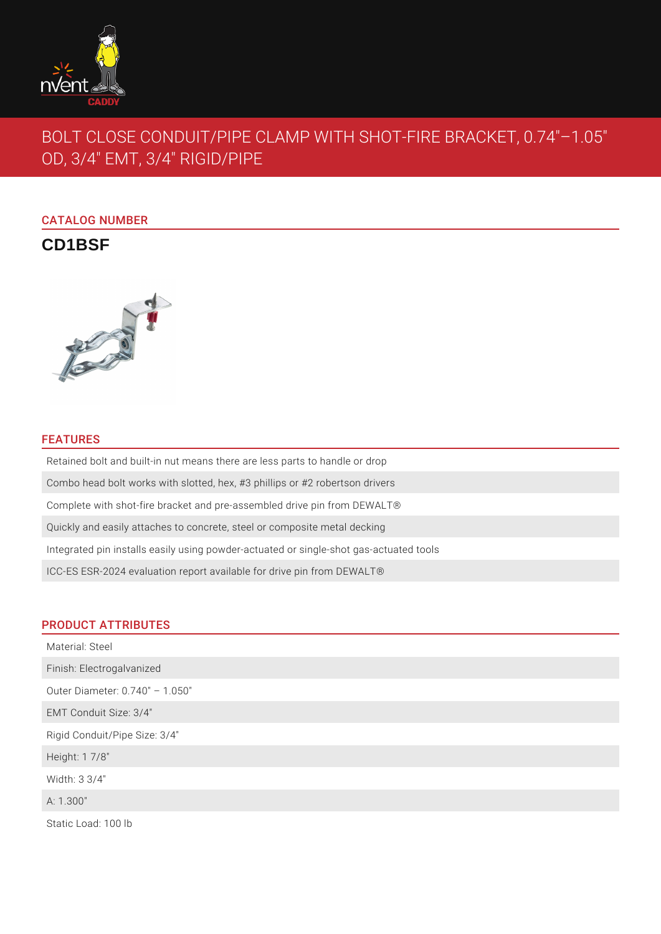

# BOLT CLOSE CONDUIT/PIPE CLAMP WITH SHOT-FIRE BRACKET, 0.74"–1.05" OD, 3/4" EMT, 3/4" RIGID/PIPE

# CATALOG NUMBER

**CD1BSF**



#### FEATURES

Retained bolt and built-in nut means there are less parts to handle or drop Combo head bolt works with slotted, hex, #3 phillips or #2 robertson drivers Complete with shot-fire bracket and pre-assembled drive pin from DEWALT® Quickly and easily attaches to concrete, steel or composite metal decking Integrated pin installs easily using powder-actuated or single-shot gas-actuated tools ICC-ES ESR-2024 evaluation report available for drive pin from DEWALT®

#### PRODUCT ATTRIBUTES

| Material: Steel                 |
|---------------------------------|
| Finish: Electrogalvanized       |
| Outer Diameter: 0.740" - 1.050" |
| EMT Conduit Size: 3/4"          |
| Rigid Conduit/Pipe Size: 3/4"   |
| Height: 1 7/8"                  |
| Width: 3 3/4"                   |
| A: 1.300"                       |
| Static Load: 100 lb             |